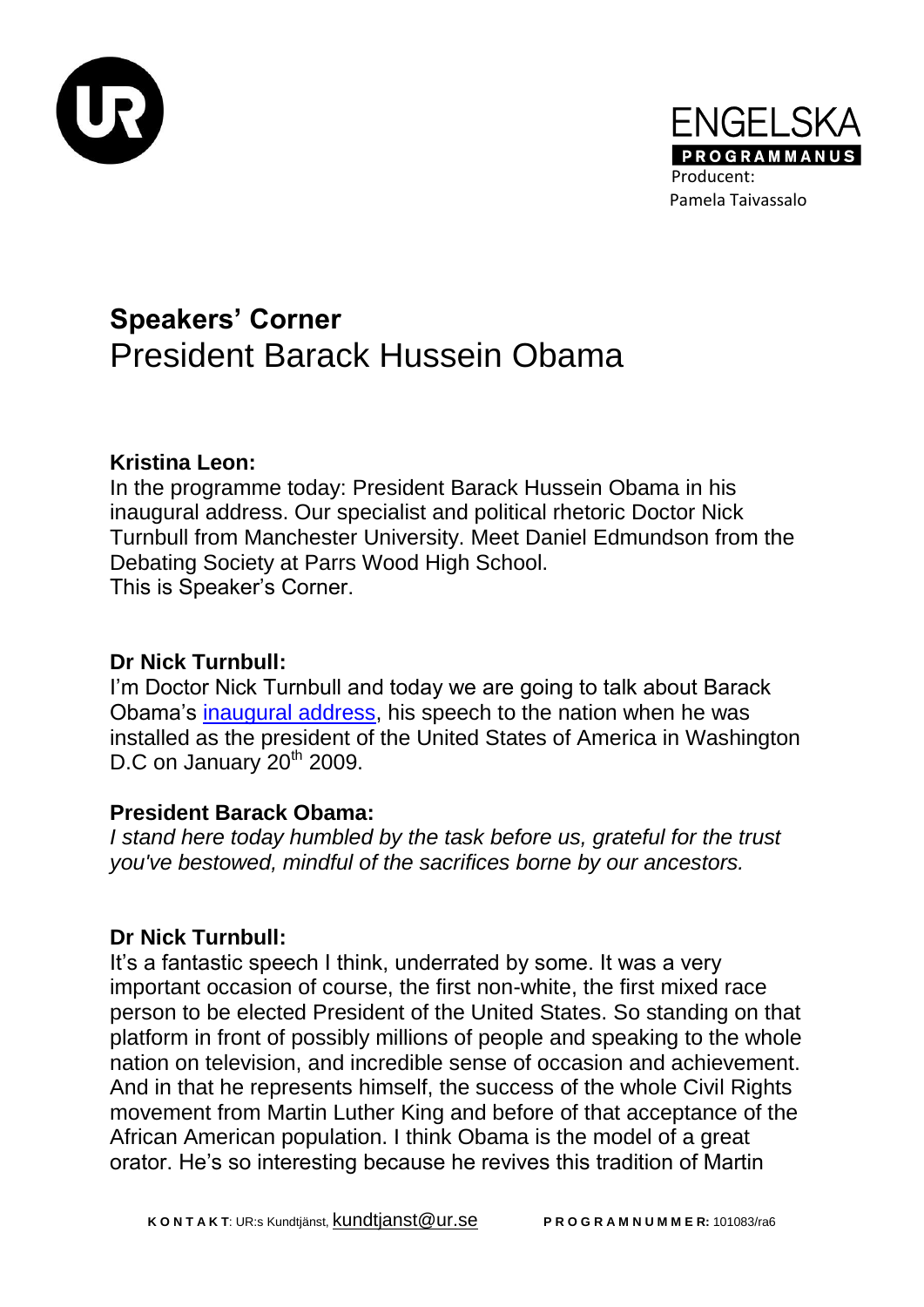



# **Speakers' Corner** President Barack Hussein Obama

# **Kristina Leon:**

In the programme today: President Barack Hussein Obama in his inaugural address. Our specialist and political rhetoric Doctor Nick Turnbull from Manchester University. Meet Daniel Edmundson from the Debating Society at Parrs Wood High School. This is Speaker's Corner.

# **Dr Nick Turnbull:**

I'm Doctor Nick Turnbull and today we are going to talk about Barack Obama's [inaugural address,](http://www.whitehouse.gov/blog/inaugural-address) his speech to the nation when he was installed as the president of the United States of America in Washington D.C on January 20<sup>th</sup> 2009.

# **President Barack Obama:**

*I stand here today humbled by the task before us, grateful for the trust you've bestowed, mindful of the sacrifices borne by our ancestors.*

# **Dr Nick Turnbull:**

It's a fantastic speech I think, underrated by some. It was a very important occasion of course, the first non-white, the first mixed race person to be elected President of the United States. So standing on that platform in front of possibly millions of people and speaking to the whole nation on television, and incredible sense of occasion and achievement. And in that he represents himself, the success of the whole Civil Rights movement from Martin Luther King and before of that acceptance of the African American population. I think Obama is the model of a great orator. He's so interesting because he revives this tradition of Martin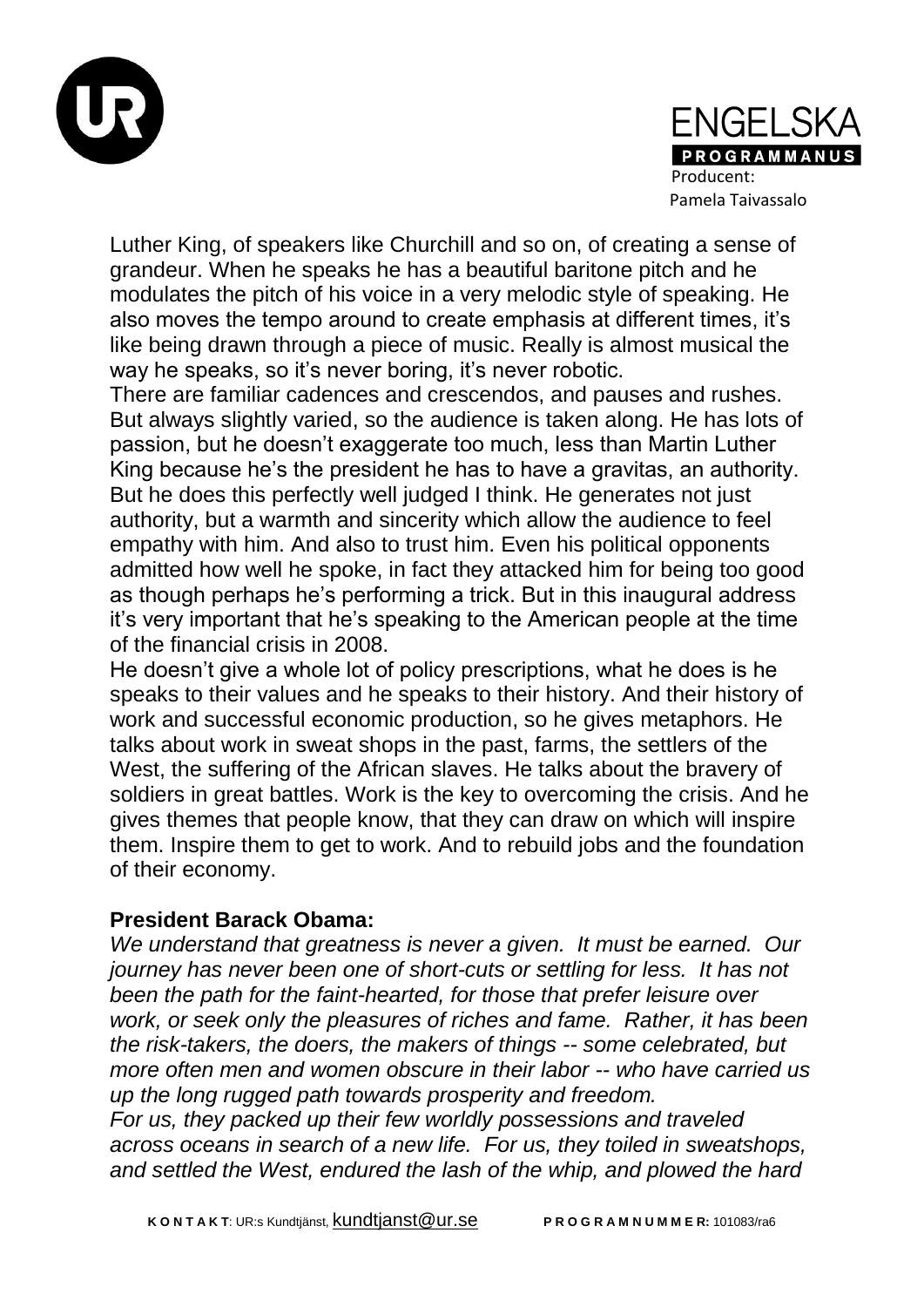



Luther King, of speakers like Churchill and so on, of creating a sense of grandeur. When he speaks he has a beautiful baritone pitch and he modulates the pitch of his voice in a very melodic style of speaking. He also moves the tempo around to create emphasis at different times, it's like being drawn through a piece of music. Really is almost musical the way he speaks, so it's never boring, it's never robotic.

There are familiar cadences and crescendos, and pauses and rushes. But always slightly varied, so the audience is taken along. He has lots of passion, but he doesn't exaggerate too much, less than Martin Luther King because he's the president he has to have a gravitas, an authority. But he does this perfectly well judged I think. He generates not just authority, but a warmth and sincerity which allow the audience to feel empathy with him. And also to trust him. Even his political opponents admitted how well he spoke, in fact they attacked him for being too good as though perhaps he's performing a trick. But in this inaugural address it's very important that he's speaking to the American people at the time of the financial crisis in 2008.

He doesn't give a whole lot of policy prescriptions, what he does is he speaks to their values and he speaks to their history. And their history of work and successful economic production, so he gives metaphors. He talks about work in sweat shops in the past, farms, the settlers of the West, the suffering of the African slaves. He talks about the bravery of soldiers in great battles. Work is the key to overcoming the crisis. And he gives themes that people know, that they can draw on which will inspire them. Inspire them to get to work. And to rebuild jobs and the foundation of their economy.

#### **President Barack Obama:**

*We understand that greatness is never a given. It must be earned. Our journey has never been one of short-cuts or settling for less. It has not been the path for the faint-hearted, for those that prefer leisure over work, or seek only the pleasures of riches and fame. Rather, it has been the risk-takers, the doers, the makers of things -- some celebrated, but more often men and women obscure in their labor -- who have carried us up the long rugged path towards prosperity and freedom.*

*For us, they packed up their few worldly possessions and traveled across oceans in search of a new life. For us, they toiled in sweatshops, and settled the West, endured the lash of the whip, and plowed the hard*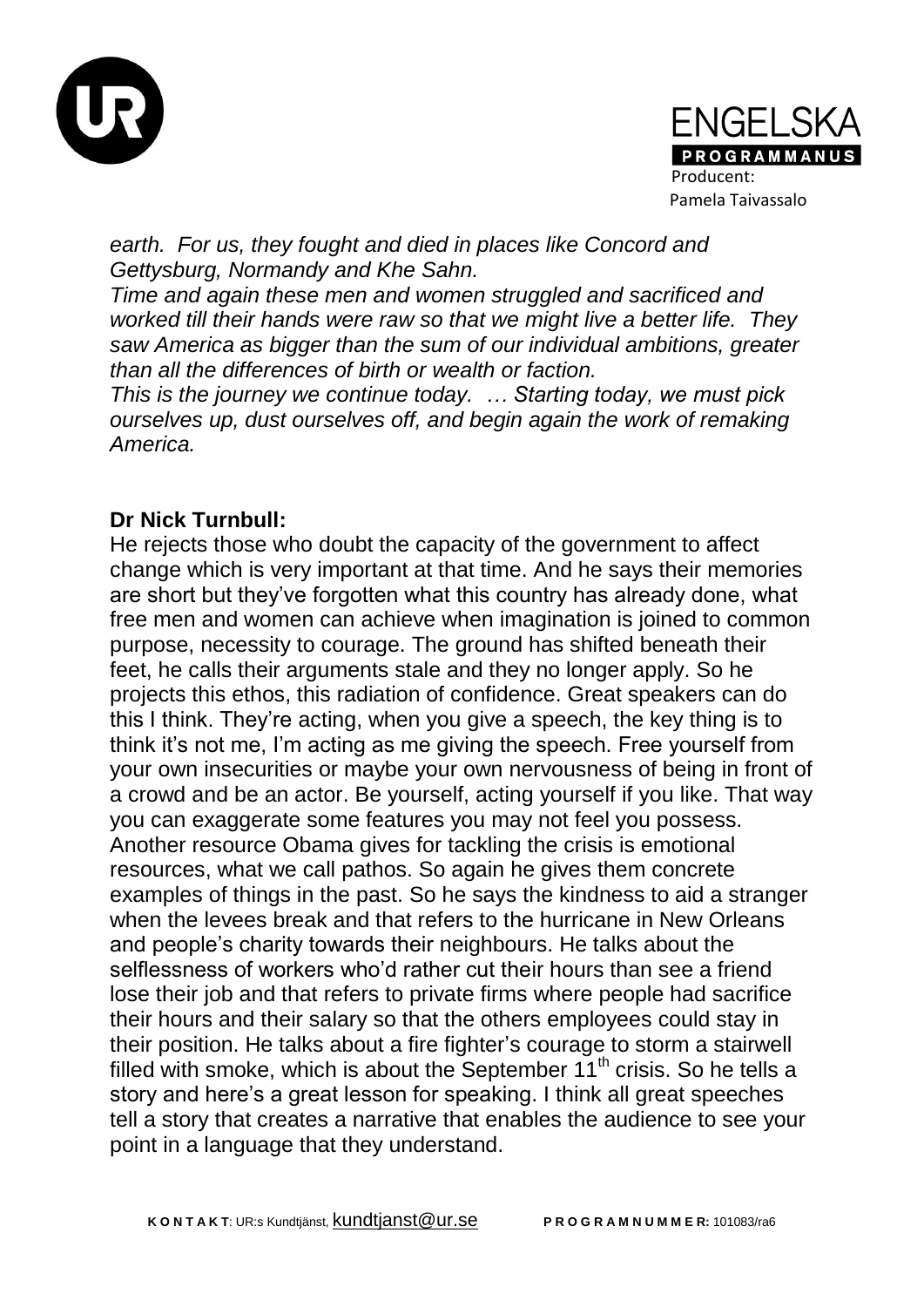



*earth. For us, they fought and died in places like Concord and Gettysburg, Normandy and Khe Sahn.*

*Time and again these men and women struggled and sacrificed and worked till their hands were raw so that we might live a better life. They saw America as bigger than the sum of our individual ambitions, greater than all the differences of birth or wealth or faction.*

*This is the journey we continue today. … Starting today, we must pick ourselves up, dust ourselves off, and begin again the work of remaking America.*

#### **Dr Nick Turnbull:**

He rejects those who doubt the capacity of the government to affect change which is very important at that time. And he says their memories are short but they've forgotten what this country has already done, what free men and women can achieve when imagination is joined to common purpose, necessity to courage. The ground has shifted beneath their feet, he calls their arguments stale and they no longer apply. So he projects this ethos, this radiation of confidence. Great speakers can do this I think. They're acting, when you give a speech, the key thing is to think it's not me, I'm acting as me giving the speech. Free yourself from your own insecurities or maybe your own nervousness of being in front of a crowd and be an actor. Be yourself, acting yourself if you like. That way you can exaggerate some features you may not feel you possess. Another resource Obama gives for tackling the crisis is emotional resources, what we call pathos. So again he gives them concrete examples of things in the past. So he says the kindness to aid a stranger when the levees break and that refers to the hurricane in New Orleans and people's charity towards their neighbours. He talks about the selflessness of workers who'd rather cut their hours than see a friend lose their job and that refers to private firms where people had sacrifice their hours and their salary so that the others employees could stay in their position. He talks about a fire fighter's courage to storm a stairwell filled with smoke, which is about the September  $11<sup>th</sup>$  crisis. So he tells a story and here's a great lesson for speaking. I think all great speeches tell a story that creates a narrative that enables the audience to see your point in a language that they understand.